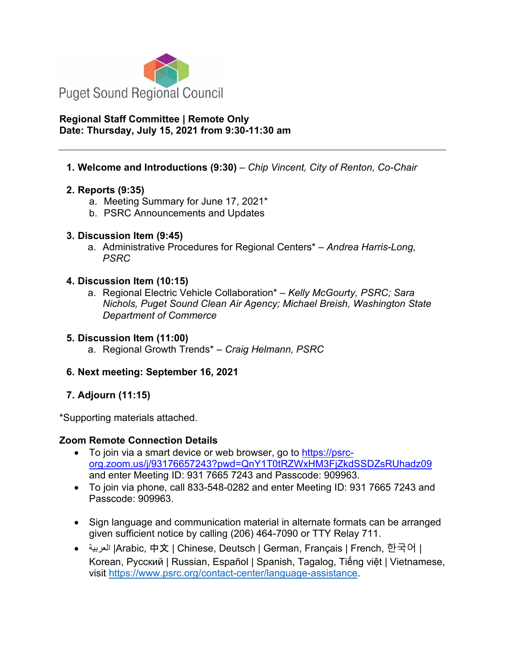

# **Regional Staff Committee | Remote Only Date: Thursday, July 15, 2021 from 9:30-11:30 am**

# **1. Welcome and Introductions (9:30)** – *Chip Vincent, City of Renton, Co-Chair*

# **2. Reports (9:35)**

- a. Meeting Summary for June 17, 2021\*
- b. PSRC Announcements and Updates

# **3. Discussion Item (9:45)**

a. Administrative Procedures for Regional Centers\* – *Andrea Harris-Long, PSRC*

# **4. Discussion Item (10:15)**

a. Regional Electric Vehicle Collaboration\* – *Kelly McGourty, PSRC; Sara Nichols, Puget Sound Clean Air Agency; Michael Breish, Washington State Department of Commerce*

# **5. Discussion Item (11:00)**

a. Regional Growth Trends\* – *Craig Helmann, PSRC*

# **6. Next meeting: September 16, 2021**

# **7. Adjourn (11:15)**

\*Supporting materials attached.

# **Zoom Remote Connection Details**

- To join via a smart device or web browser, go to [https://psrc](https://psrc-org.zoom.us/j/93176657243?pwd=QnY1T0tRZWxHM3FjZkdSSDZsRUhadz09)[org.zoom.us/j/93176657243?pwd=QnY1T0tRZWxHM3FjZkdSSDZsRUhadz09](https://psrc-org.zoom.us/j/93176657243?pwd=QnY1T0tRZWxHM3FjZkdSSDZsRUhadz09) and enter Meeting ID: 931 7665 7243 and Passcode: 909963.
- To join via phone, call 833-548-0282 and enter Meeting ID: 931 7665 7243 and Passcode: 909963.
- Sign language and communication material in alternate formats can be arranged given sufficient notice by calling (206) 464-7090 or TTY Relay 711.
- العربية | Arabic, 中文 | Chinese, Deutsch | German, Français | French, 한국어 | Korean, Русский | Russian, Español | Spanish, Tagalog, Tiếng việt | Vietnamese, visit [https://www.psrc.org/contact-center/language-assistance.](https://www.psrc.org/contact-center/language-assistance)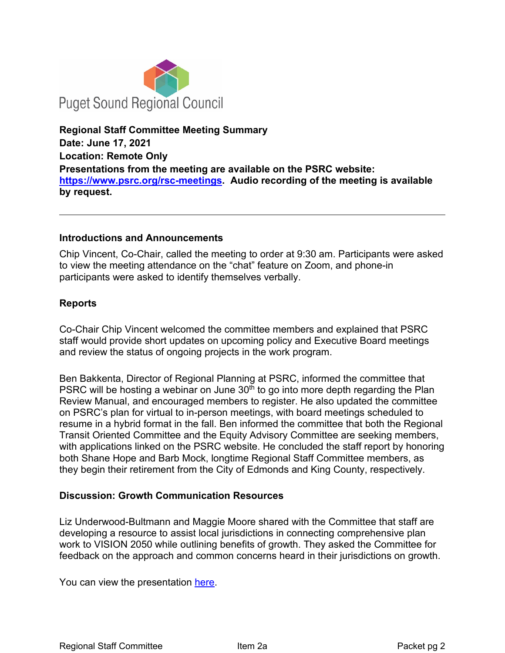

**Regional Staff Committee Meeting Summary Date: June 17, 2021 Location: Remote Only Presentations from the meeting are available on the PSRC website: [https://www.psrc.org/rsc-meetings.](https://www.psrc.org/rsc-meetings) Audio recording of the meeting is available by request.**

### **Introductions and Announcements**

Chip Vincent, Co-Chair, called the meeting to order at 9:30 am. Participants were asked to view the meeting attendance on the "chat" feature on Zoom, and phone-in participants were asked to identify themselves verbally.

# **Reports**

Co-Chair Chip Vincent welcomed the committee members and explained that PSRC staff would provide short updates on upcoming policy and Executive Board meetings and review the status of ongoing projects in the work program.

Ben Bakkenta, Director of Regional Planning at PSRC, informed the committee that PSRC will be hosting a webinar on June  $30<sup>th</sup>$  to go into more depth regarding the Plan Review Manual, and encouraged members to register. He also updated the committee on PSRC's plan for virtual to in-person meetings, with board meetings scheduled to resume in a hybrid format in the fall. Ben informed the committee that both the Regional Transit Oriented Committee and the Equity Advisory Committee are seeking members, with applications linked on the PSRC website. He concluded the staff report by honoring both Shane Hope and Barb Mock, longtime Regional Staff Committee members, as they begin their retirement from the City of Edmonds and King County, respectively.

# **Discussion: Growth Communication Resources**

Liz Underwood-Bultmann and Maggie Moore shared with the Committee that staff are developing a resource to assist local jurisdictions in connecting comprehensive plan work to VISION 2050 while outlining benefits of growth. They asked the Committee for feedback on the approach and common concerns heard in their jurisdictions on growth.

You can view the presentation [here.](https://www.psrc.org/sites/default/files/rsc2021june17-pres-growth-communications.pdf)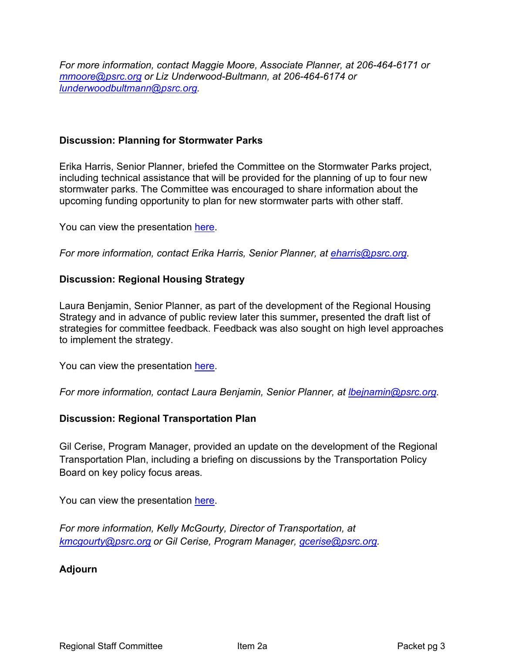*For more information, contact Maggie Moore, Associate Planner, at 206-464-6171 or mmoore@psrc.org or Liz Underwood-Bultmann, at 206-464-6174 or [lunderwoodbultmann@psrc.org.](mailto:lunderwoodbultmann@psrc.org)* 

# **Discussion: Planning for Stormwater Parks**

Erika Harris, Senior Planner, briefed the Committee on the Stormwater Parks project, including technical assistance that will be provided for the planning of up to four new stormwater parks. The Committee was encouraged to share information about the upcoming funding opportunity to plan for new stormwater parts with other staff.

You can view the presentation [here.](https://www.psrc.org/sites/default/files/rsc2021june17-pres-stormwater.pdf)

*For more information, contact Erika Harris, Senior Planner, at eharris@psrc.org.* 

# **Discussion: Regional Housing Strategy**

Laura Benjamin, Senior Planner, as part of the development of the Regional Housing Strategy and in advance of public review later this summer**,** presented the draft list of strategies for committee feedback. Feedback was also sought on high level approaches to implement the strategy.

You can view the presentation [here.](https://www.psrc.org/sites/default/files/rsc2021june17-pres-regional-housing-strategy.pdf)

*For more information, contact Laura Benjamin, Senior Planner, at [lbejnamin@psrc.org.](mailto:lbejnamin@psrc.org)* 

# **Discussion: Regional Transportation Plan**

Gil Cerise, Program Manager, provided an update on the development of the Regional Transportation Plan, including a briefing on discussions by the Transportation Policy Board on key policy focus areas.

You can view the presentation [here.](https://www.psrc.org/sites/default/files/rsc2021june17-pres-rtp.pdf)

*For more information, Kelly McGourty, Director of Transportation, at [kmcgourty@psrc.org](mailto:kmcgourty@psrc.org) or Gil Cerise, Program Manager, [gcerise@psrc.org.](mailto:gcerise@psrc.org)* 

#### **Adjourn**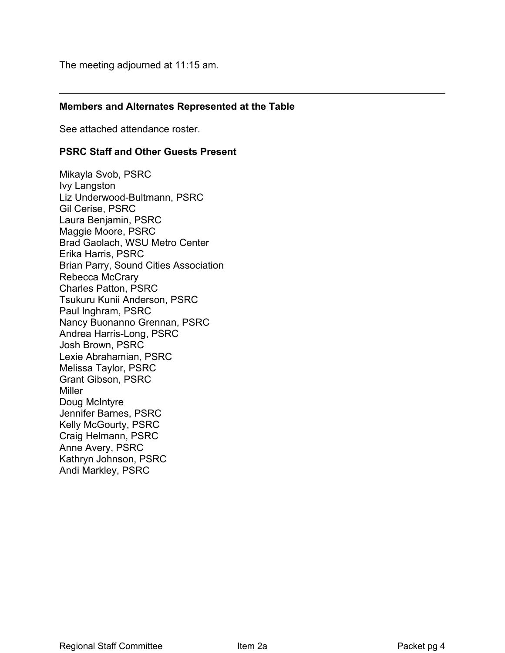The meeting adjourned at 11:15 am.

### **Members and Alternates Represented at the Table**

See attached attendance roster.

#### **PSRC Staff and Other Guests Present**

Mikayla Svob, PSRC Ivy Langston Liz Underwood-Bultmann, PSRC Gil Cerise, PSRC Laura Benjamin, PSRC Maggie Moore, PSRC Brad Gaolach, WSU Metro Center Erika Harris, PSRC Brian Parry, Sound Cities Association Rebecca McCrary Charles Patton, PSRC Tsukuru Kunii Anderson, PSRC Paul Inghram, PSRC Nancy Buonanno Grennan, PSRC Andrea Harris-Long, PSRC Josh Brown, PSRC Lexie Abrahamian, PSRC Melissa Taylor, PSRC Grant Gibson, PSRC **Miller** Doug McIntyre Jennifer Barnes, PSRC Kelly McGourty, PSRC Craig Helmann, PSRC Anne Avery, PSRC Kathryn Johnson, PSRC Andi Markley, PSRC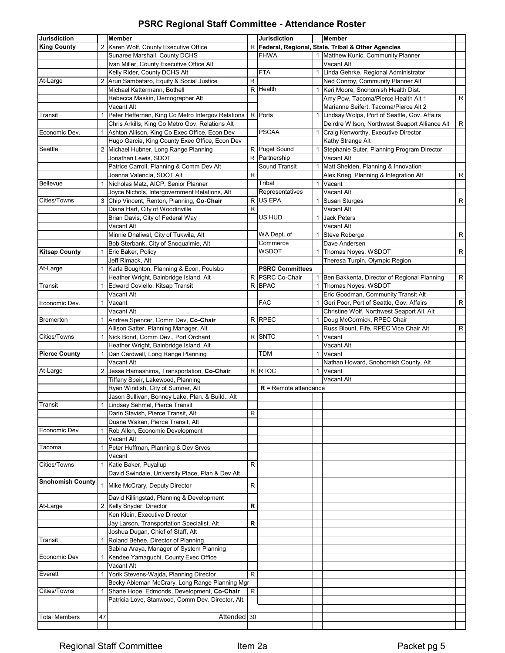# **PSRC Regional Staff Committee - Attendance Roster**

| <b>Jurisdiction</b>     |                | Member                                                      |   | <b>Jurisdiction</b>     |              | Member                                                   |              |
|-------------------------|----------------|-------------------------------------------------------------|---|-------------------------|--------------|----------------------------------------------------------|--------------|
| <b>King County</b>      | 2              | Karen Wolf, County Executive Office                         | R |                         |              | Federal, Regional, State, Tribal & Other Agencies        |              |
|                         |                | Sunaree Marshall, County DCHS                               |   | <b>FHWA</b>             |              | 1 Matthew Kunic, Community Planner                       |              |
|                         |                | Ivan Miller, County Executive Office Alt                    |   |                         |              | Vacant Alt                                               |              |
|                         |                | Kelly Rider, County DCHS Alt                                |   | <b>FTA</b>              |              | 1 Linda Gehrke, Regional Administrator                   |              |
| At-Large                | $\overline{2}$ | Arun Sambataro, Equity & Social Justice                     | R |                         |              | Ned Conroy, Community Planner Alt                        |              |
|                         |                | Michael Kattermann. Bothell                                 | R | Health                  | $\mathbf{1}$ | Keri Moore, Snohomish Health Dist.                       |              |
|                         |                | Rebecca Maskin, Demographer Alt                             |   |                         |              | Amy Pow, Tacoma/Pierce Health Alt 1                      | $\mathsf{R}$ |
|                         |                | Vacant Alt                                                  |   |                         |              | Marianne Seifert, Tacoma/Pierce Alt 2                    |              |
| Transit                 | 1              | Peter Heffernan, King Co Metro Intergov Relations           |   | R Ports                 |              | 1 Lindsay Wolpa, Port of Seattle, Gov. Affairs           |              |
|                         |                | Chris Arkills, King Co Metro Gov. Relations Alt             |   |                         |              | Deirdre Wilson, Northwest Seaport Alliance Alt           | $\mathsf{R}$ |
| Economic Dev.           | 1              | Ashton Allison, King Co Exec Office, Econ Dev               |   | <b>PSCAA</b>            |              | 1 Craig Kenworthy, Executive Director                    |              |
|                         |                | Hugo Garcia, King County Exec Office, Econ Dev              |   |                         |              | Kathy Strange Alt                                        |              |
| Seattle                 | $\overline{2}$ |                                                             |   | R Puget Sound           | $\mathbf{1}$ |                                                          |              |
|                         |                | Michael Hubner, Long Range Planning<br>Jonathan Lewis, SDOT |   | R Partnership           |              | Stephanie Suter, Planning Program Director<br>Vacant Alt |              |
|                         |                |                                                             |   | Sound Transit           |              |                                                          |              |
|                         |                | Patrice Carroll, Planning & Comm Dev Alt                    |   |                         |              | 1 Matt Shelden, Planning & Innovation                    |              |
|                         |                | Joanna Valencia, SDOT Alt                                   | R |                         |              | Alex Krieg, Planning & Integration Alt                   | ${\sf R}$    |
| Bellevue                | $\mathbf{1}$   | Nicholas Matz, AICP, Senior Planner                         |   | Tribal                  | $\mathbf{1}$ | Vacant                                                   |              |
|                         |                | Joyce Nichols, Intergovernment Relations, Alt               |   | Representatives         |              | Vacant Alt                                               |              |
| Cities/Towns            | 3              | Chip Vincent, Renton, Planning, Co-Chair                    | R | <b>US EPA</b>           |              | 1 Susan Sturges                                          | ${\sf R}$    |
|                         |                | Diana Hart, City of Woodinville                             | R |                         |              | Vacant Alt                                               |              |
|                         |                | Brian Davis, City of Federal Way                            |   | US HUD                  | $\mathbf{1}$ | <b>Jack Peters</b>                                       |              |
|                         |                | Vacant Alt                                                  |   |                         |              | Vacant Alt                                               |              |
|                         |                | Minnie Dhaliwal, City of Tukwila, Alt                       |   | WA Dept. of             |              | 1 Steve Roberge                                          | $\mathsf R$  |
|                         |                | Bob Sterbank, City of Snoqualmie, Alt                       |   | Commerce                |              | Dave Andersen                                            |              |
| <b>Kitsap County</b>    | 1              | Eric Baker, Policy                                          |   | WSDOT                   |              | 1 Thomas Noves, WSDOT                                    | R            |
|                         |                | Jeff Rimack, Alt                                            |   |                         |              | Theresa Turpin, Olympic Region                           |              |
| At-Large                | $\mathbf{1}$   | Karla Boughton, Planning & Econ, Poulsbo                    |   | <b>PSRC Committees</b>  |              |                                                          |              |
|                         |                | Heather Wright, Bainbridge Island, Alt                      | R | <b>PSRC Co-Chair</b>    | $\mathbf{1}$ | Ben Bakkenta, Director of Regional Planning              | ${\sf R}$    |
| Transit                 |                | Edward Coviello, Kitsap Transit                             |   | R BPAC                  | $\mathbf{1}$ | Thomas Noyes, WSDOT                                      |              |
|                         |                | Vacant Alt                                                  |   |                         |              | Eric Goodman, Community Transit Alt                      |              |
| Economic Dev.           | $\mathbf{1}$   | Vacant                                                      |   | <b>FAC</b>              |              | 1 Geri Poor, Port of Seattle, Gov. Affairs               | ${\sf R}$    |
|                         |                | Vacant Alt                                                  |   |                         |              | Christine Wolf, Northwest Seaport All. Alt               |              |
| <b>Bremerton</b>        | 1              | Andrea Spencer, Comm Dev, Co-Chair                          |   | R RPEC                  |              | 1 Doug McCormick, RPEC Chair                             |              |
|                         |                | Allison Satter, Planning Manager, Alt                       |   |                         |              | Russ Blount, Fife, RPEC Vice Chair Alt                   | ${\sf R}$    |
| Cities/Towns            | 1              | Nick Bond, Comm Dev., Port Orchard                          |   | R SNTC                  | $\mathbf{1}$ | Vacant                                                   |              |
|                         |                | Heather Wright, Bainbridge Island, Alt                      |   |                         |              | Vacant Alt                                               |              |
| <b>Pierce County</b>    | 1              | Dan Cardwell, Long Range Planning                           |   | TDM                     | $\mathbf{1}$ | Vacant                                                   |              |
|                         |                | Vacant Alt                                                  |   |                         |              | Nathan Howard, Snohomish County, Alt                     |              |
| At-Large                | 2              | Jesse Hamashima, Transportation, Co-Chair                   |   | R RTOC                  | $\mathbf{1}$ | Vacant                                                   |              |
|                         |                | Tiffany Speir, Lakewood, Planning                           |   |                         |              | Vacant Alt                                               |              |
|                         |                |                                                             |   | $R$ = Remote attendance |              |                                                          |              |
|                         |                | Ryan Windish, City of Sumner, Alt                           |   |                         |              |                                                          |              |
|                         |                | Jason Sullivan, Bonney Lake, Plan. & Build., Alt            |   |                         |              |                                                          |              |
| Transit                 |                | 1 Lindsey Sehmel, Pierce Transit                            |   |                         |              |                                                          |              |
|                         |                | Darin Stavish, Pierce Transit, Alt                          | R |                         |              |                                                          |              |
|                         |                | Duane Wakan, Pierce Transit, Alt                            |   |                         |              |                                                          |              |
| Economic Dev            |                | Rob Allen, Economic Development                             |   |                         |              |                                                          |              |
|                         |                | Vacant Alt                                                  |   |                         |              |                                                          |              |
| Tacoma                  | 1              | Peter Huffman, Planning & Dev Srvcs                         |   |                         |              |                                                          |              |
|                         |                | Vacant                                                      |   |                         |              |                                                          |              |
| Cities/Towns            | 1              | Katie Baker, Puyallup                                       | R |                         |              |                                                          |              |
|                         |                | David Swindale, University Place, Plan & Dev Alt            |   |                         |              |                                                          |              |
| <b>Snohomish County</b> | $\mathbf{1}$   | Mike McCrary, Deputy Director                               | R |                         |              |                                                          |              |
|                         |                |                                                             |   |                         |              |                                                          |              |
|                         |                | David Killingstad, Planning & Development                   |   |                         |              |                                                          |              |
| At-Large                | 2              | Kelly Snyder, Director                                      | R |                         |              |                                                          |              |
|                         |                | Ken Klein, Executive Director                               |   |                         |              |                                                          |              |
|                         |                | Jay Larson, Transportation Specialist, Alt                  | R |                         |              |                                                          |              |
|                         |                | Joshua Dugan, Chief of Staff, Alt                           |   |                         |              |                                                          |              |
| Transit                 | $\mathbf{1}$   | Roland Behee, Director of Planning                          |   |                         |              |                                                          |              |
|                         |                | Sabina Araya, Manager of System Planning                    |   |                         |              |                                                          |              |
| Economic Dev            | 1              | Kendee Yamaguchi, County Exec Office                        |   |                         |              |                                                          |              |
|                         |                | Vacant Alt                                                  |   |                         |              |                                                          |              |
| Everett                 | 1              | Yorik Stevens-Wajda, Planning Director                      | R |                         |              |                                                          |              |
|                         |                | Becky Ableman McCrary, Long Range Planning Mgr              |   |                         |              |                                                          |              |
| Cities/Towns            |                | Shane Hope, Edmonds, Development, Co-Chair                  | R |                         |              |                                                          |              |
|                         |                | Patricia Love, Stanwood, Comm Dev. Director, Alt.           |   |                         |              |                                                          |              |
|                         |                |                                                             |   |                         |              |                                                          |              |
| Total Members           | 47             | Attended 30                                                 |   |                         |              |                                                          |              |
|                         |                |                                                             |   |                         |              |                                                          |              |
|                         |                |                                                             |   |                         |              |                                                          |              |

# Regional Staff Committee The Item 2a **Packet pg 5**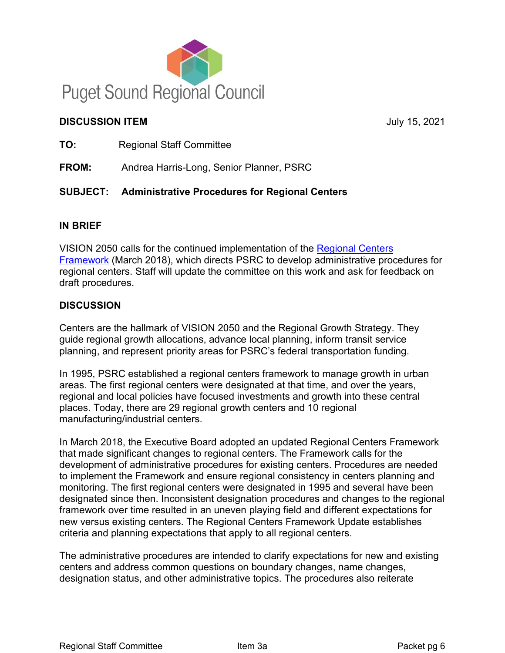

# **DISCUSSION ITEM** July 15, 2021

**TO:** Regional Staff Committee

**FROM:** Andrea Harris-Long, Senior Planner, PSRC

# **SUBJECT: Administrative Procedures for Regional Centers**

# **IN BRIEF**

VISION 2050 calls for the continued implementation of the [Regional Centers](https://www.psrc.org/sites/default/files/final_regional_centers_framework_march_22_version.pdf)  [Framework](https://www.psrc.org/sites/default/files/final_regional_centers_framework_march_22_version.pdf) (March 2018), which directs PSRC to develop administrative procedures for regional centers. Staff will update the committee on this work and ask for feedback on draft procedures.

# **DISCUSSION**

Centers are the hallmark of VISION 2050 and the Regional Growth Strategy. They guide regional growth allocations, advance local planning, inform transit service planning, and represent priority areas for PSRC's federal transportation funding.

In 1995, PSRC established a regional centers framework to manage growth in urban areas. The first regional centers were designated at that time, and over the years, regional and local policies have focused investments and growth into these central places. Today, there are 29 regional growth centers and 10 regional manufacturing/industrial centers.

In March 2018, the Executive Board adopted an updated Regional Centers Framework that made significant changes to regional centers. The Framework calls for the development of administrative procedures for existing centers. Procedures are needed to implement the Framework and ensure regional consistency in centers planning and monitoring. The first regional centers were designated in 1995 and several have been designated since then. Inconsistent designation procedures and changes to the regional framework over time resulted in an uneven playing field and different expectations for new versus existing centers. The Regional Centers Framework Update establishes criteria and planning expectations that apply to all regional centers.

The administrative procedures are intended to clarify expectations for new and existing centers and address common questions on boundary changes, name changes, designation status, and other administrative topics. The procedures also reiterate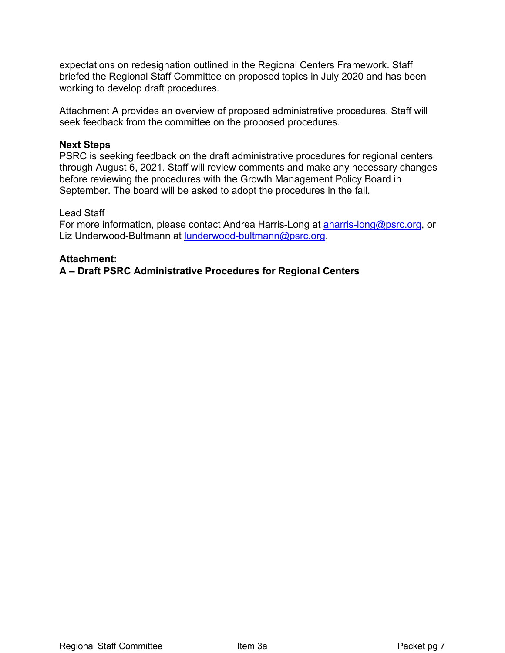expectations on redesignation outlined in the Regional Centers Framework. Staff briefed the Regional Staff Committee on proposed topics in July 2020 and has been working to develop draft procedures.

Attachment A provides an overview of proposed administrative procedures. Staff will seek feedback from the committee on the proposed procedures.

### **Next Steps**

PSRC is seeking feedback on the draft administrative procedures for regional centers through August 6, 2021. Staff will review comments and make any necessary changes before reviewing the procedures with the Growth Management Policy Board in September. The board will be asked to adopt the procedures in the fall.

### Lead Staff

For more information, please contact Andrea Harris-Long at **aharris-long@psrc.org**, or Liz Underwood-Bultmann at [lunderwood-bultmann@psrc.org.](mailto:lunderwood-bultmann@psrc.org)

### **Attachment:**

**A – Draft PSRC Administrative Procedures for Regional Centers**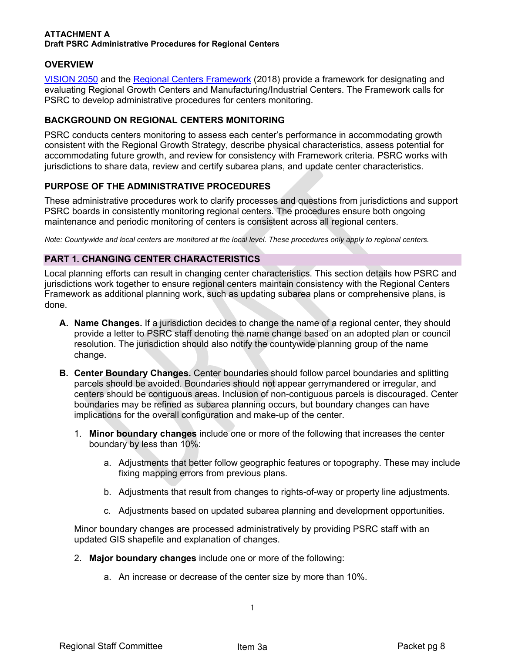#### **ATTACHMENT A Draft PSRC Administrative Procedures for Regional Centers**

### **OVERVIEW**

[VISION 2050](https://www.psrc.org/vision) and the [Regional Centers Framework](https://www.psrc.org/sites/default/files/final_regional_centers_framework_march_22_version.pdf) (2018) provide a framework for designating and evaluating Regional Growth Centers and Manufacturing/Industrial Centers. The Framework calls for PSRC to develop administrative procedures for centers monitoring.

#### **BACKGROUND ON REGIONAL CENTERS MONITORING**

PSRC conducts centers monitoring to assess each center's performance in accommodating growth consistent with the Regional Growth Strategy, describe physical characteristics, assess potential for accommodating future growth, and review for consistency with Framework criteria. PSRC works with jurisdictions to share data, review and certify subarea plans, and update center characteristics.

#### **PURPOSE OF THE ADMINISTRATIVE PROCEDURES**

These administrative procedures work to clarify processes and questions from jurisdictions and support PSRC boards in consistently monitoring regional centers. The procedures ensure both ongoing maintenance and periodic monitoring of centers is consistent across all regional centers.

*Note: Countywide and local centers are monitored at the local level. These procedures only apply to regional centers.*

#### **PART 1. CHANGING CENTER CHARACTERISTICS**

Local planning efforts can result in changing center characteristics. This section details how PSRC and jurisdictions work together to ensure regional centers maintain consistency with the Regional Centers Framework as additional planning work, such as updating subarea plans or comprehensive plans, is done.

- **A. Name Changes.** If a jurisdiction decides to change the name of a regional center, they should provide a letter to PSRC staff denoting the name change based on an adopted plan or council resolution. The jurisdiction should also notify the countywide planning group of the name change.
- **B. Center Boundary Changes.** Center boundaries should follow parcel boundaries and splitting parcels should be avoided. Boundaries should not appear gerrymandered or irregular, and centers should be contiguous areas. Inclusion of non-contiguous parcels is discouraged. Center boundaries may be refined as subarea planning occurs, but boundary changes can have implications for the overall configuration and make-up of the center.
	- 1. **Minor boundary changes** include one or more of the following that increases the center boundary by less than 10%:
		- a. Adjustments that better follow geographic features or topography. These may include fixing mapping errors from previous plans.
		- b. Adjustments that result from changes to rights-of-way or property line adjustments.
		- c. Adjustments based on updated subarea planning and development opportunities.

Minor boundary changes are processed administratively by providing PSRC staff with an updated GIS shapefile and explanation of changes.

- 2. **Major boundary changes** include one or more of the following:
	- a. An increase or decrease of the center size by more than 10%.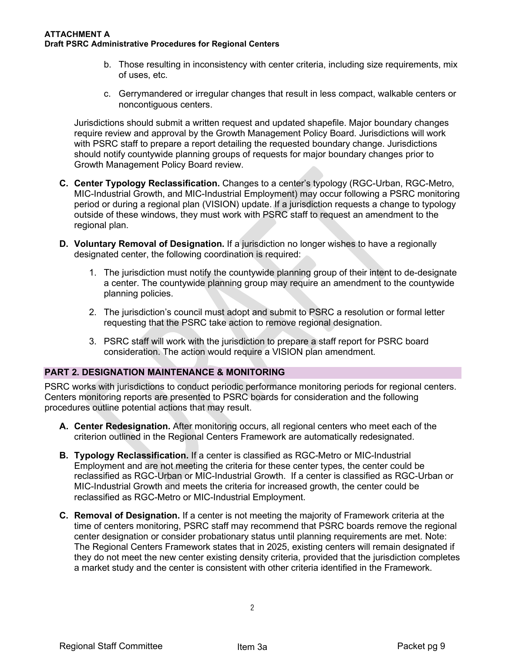#### **ATTACHMENT A Draft PSRC Administrative Procedures for Regional Centers**

- b. Those resulting in inconsistency with center criteria, including size requirements, mix of uses, etc.
- c. Gerrymandered or irregular changes that result in less compact, walkable centers or noncontiguous centers.

Jurisdictions should submit a written request and updated shapefile. Major boundary changes require review and approval by the Growth Management Policy Board. Jurisdictions will work with PSRC staff to prepare a report detailing the requested boundary change. Jurisdictions should notify countywide planning groups of requests for major boundary changes prior to Growth Management Policy Board review.

- **C. Center Typology Reclassification.** Changes to a center's typology (RGC-Urban, RGC-Metro, MIC-Industrial Growth, and MIC-Industrial Employment) may occur following a PSRC monitoring period or during a regional plan (VISION) update. If a jurisdiction requests a change to typology outside of these windows, they must work with PSRC staff to request an amendment to the regional plan.
- **D. Voluntary Removal of Designation.** If a jurisdiction no longer wishes to have a regionally designated center, the following coordination is required:
	- 1. The jurisdiction must notify the countywide planning group of their intent to de-designate a center. The countywide planning group may require an amendment to the countywide planning policies.
	- 2. The jurisdiction's council must adopt and submit to PSRC a resolution or formal letter requesting that the PSRC take action to remove regional designation.
	- 3. PSRC staff will work with the jurisdiction to prepare a staff report for PSRC board consideration. The action would require a VISION plan amendment.

#### **PART 2. DESIGNATION MAINTENANCE & MONITORING**

PSRC works with jurisdictions to conduct periodic performance monitoring periods for regional centers. Centers monitoring reports are presented to PSRC boards for consideration and the following procedures outline potential actions that may result.

- **A. Center Redesignation.** After monitoring occurs, all regional centers who meet each of the criterion outlined in the Regional Centers Framework are automatically redesignated.
- **B. Typology Reclassification.** If a center is classified as RGC-Metro or MIC-Industrial Employment and are not meeting the criteria for these center types, the center could be reclassified as RGC-Urban or MIC-Industrial Growth. If a center is classified as RGC-Urban or MIC-Industrial Growth and meets the criteria for increased growth, the center could be reclassified as RGC-Metro or MIC-Industrial Employment.
- **C. Removal of Designation.** If a center is not meeting the majority of Framework criteria at the time of centers monitoring, PSRC staff may recommend that PSRC boards remove the regional center designation or consider probationary status until planning requirements are met. Note: The Regional Centers Framework states that in 2025, existing centers will remain designated if they do not meet the new center existing density criteria, provided that the jurisdiction completes a market study and the center is consistent with other criteria identified in the Framework.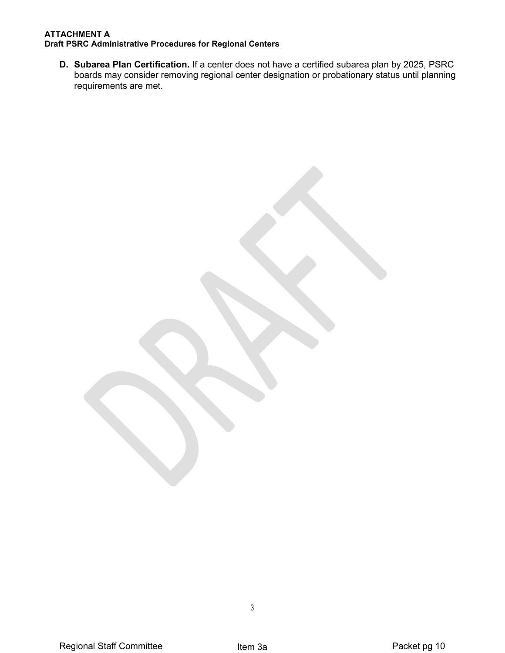#### **ATTACHMENT A Draft PSRC Administrative Procedures for Regional Centers**

**D. Subarea Plan Certification.** If a center does not have a certified subarea plan by 2025, PSRC boards may consider removing regional center designation or probationary status until planning requirements are met.

3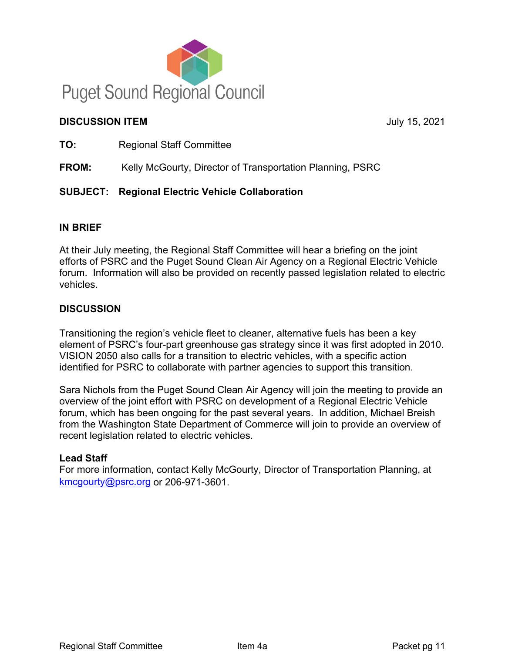

# **DISCUSSION ITEM** July 15, 2021

**TO:** Regional Staff Committee

**FROM:** Kelly McGourty, Director of Transportation Planning, PSRC

# **SUBJECT: Regional Electric Vehicle Collaboration**

# **IN BRIEF**

At their July meeting, the Regional Staff Committee will hear a briefing on the joint efforts of PSRC and the Puget Sound Clean Air Agency on a Regional Electric Vehicle forum. Information will also be provided on recently passed legislation related to electric vehicles.

# **DISCUSSION**

Transitioning the region's vehicle fleet to cleaner, alternative fuels has been a key element of PSRC's four-part greenhouse gas strategy since it was first adopted in 2010. VISION 2050 also calls for a transition to electric vehicles, with a specific action identified for PSRC to collaborate with partner agencies to support this transition.

Sara Nichols from the Puget Sound Clean Air Agency will join the meeting to provide an overview of the joint effort with PSRC on development of a Regional Electric Vehicle forum, which has been ongoing for the past several years. In addition, Michael Breish from the Washington State Department of Commerce will join to provide an overview of recent legislation related to electric vehicles.

# **Lead Staff**

For more information, contact Kelly McGourty, Director of Transportation Planning, at [kmcgourty@psrc.org](mailto:kmcgourty@psrc.org) or 206-971-3601.